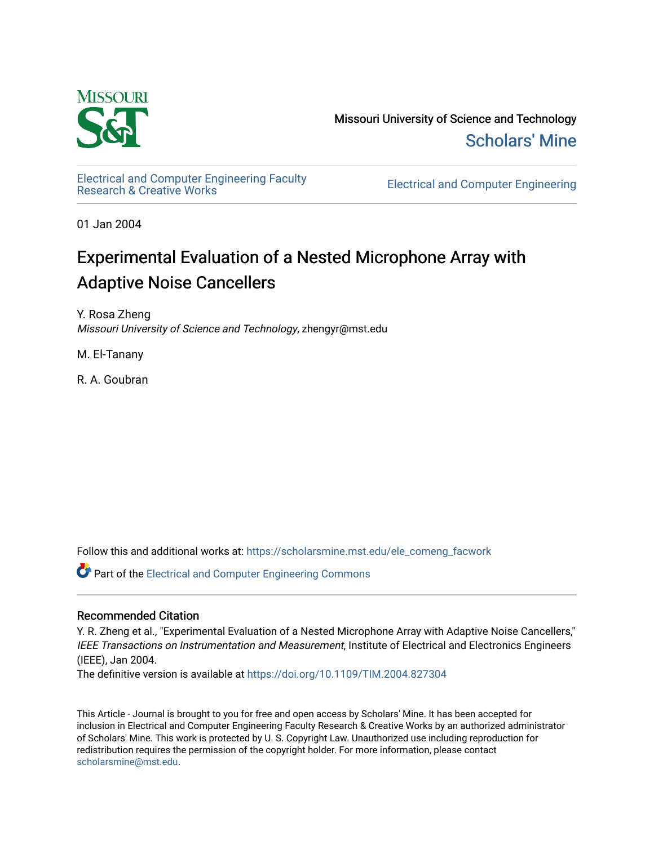

Missouri University of Science and Technology [Scholars' Mine](https://scholarsmine.mst.edu/) 

[Electrical and Computer Engineering Faculty](https://scholarsmine.mst.edu/ele_comeng_facwork)

**Electrical and Computer Engineering** 

01 Jan 2004

## Experimental Evaluation of a Nested Microphone Array with Adaptive Noise Cancellers

Y. Rosa Zheng Missouri University of Science and Technology, zhengyr@mst.edu

M. El-Tanany

R. A. Goubran

Follow this and additional works at: [https://scholarsmine.mst.edu/ele\\_comeng\\_facwork](https://scholarsmine.mst.edu/ele_comeng_facwork?utm_source=scholarsmine.mst.edu%2Fele_comeng_facwork%2F1036&utm_medium=PDF&utm_campaign=PDFCoverPages)

**C** Part of the Electrical and Computer Engineering Commons

### Recommended Citation

Y. R. Zheng et al., "Experimental Evaluation of a Nested Microphone Array with Adaptive Noise Cancellers," IEEE Transactions on Instrumentation and Measurement, Institute of Electrical and Electronics Engineers (IEEE), Jan 2004.

The definitive version is available at <https://doi.org/10.1109/TIM.2004.827304>

This Article - Journal is brought to you for free and open access by Scholars' Mine. It has been accepted for inclusion in Electrical and Computer Engineering Faculty Research & Creative Works by an authorized administrator of Scholars' Mine. This work is protected by U. S. Copyright Law. Unauthorized use including reproduction for redistribution requires the permission of the copyright holder. For more information, please contact [scholarsmine@mst.edu.](mailto:scholarsmine@mst.edu)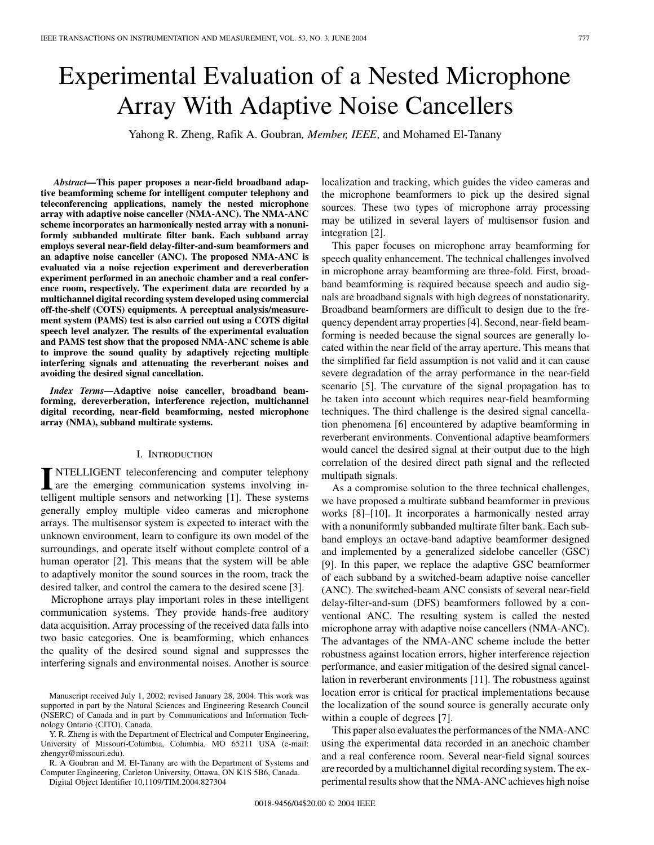# Experimental Evaluation of a Nested Microphone Array With Adaptive Noise Cancellers

Yahong R. Zheng, Rafik A. Goubran*, Member, IEEE*, and Mohamed El-Tanany

*Abstract—***This paper proposes a near-field broadband adaptive beamforming scheme for intelligent computer telephony and teleconferencing applications, namely the nested microphone array with adaptive noise canceller (NMA-ANC). The NMA-ANC scheme incorporates an harmonically nested array with a nonuniformly subbanded multirate filter bank. Each subband array employs several near-field delay-filter-and-sum beamformers and an adaptive noise canceller (ANC). The proposed NMA-ANC is evaluated via a noise rejection experiment and dereverberation experiment performed in an anechoic chamber and a real conference room, respectively. The experiment data are recorded by a multichannel digital recording system developed using commercial off-the-shelf (COTS) equipments. A perceptual analysis/measurement system (PAMS) test is also carried out using a COTS digital speech level analyzer. The results of the experimental evaluation and PAMS test show that the proposed NMA-ANC scheme is able to improve the sound quality by adaptively rejecting multiple interfering signals and attenuating the reverberant noises and avoiding the desired signal cancellation.**

*Index Terms—***Adaptive noise canceller, broadband beamforming, dereverberation, interference rejection, multichannel digital recording, near-field beamforming, nested microphone array (NMA), subband multirate systems.**

#### I. INTRODUCTION

**I** NTELLIGENT teleconferencing and computer telephony<br>are the emerging communication systems involving in-<br>talligent multiple express and naturaling [1]. These systems telligent multiple sensors and networking [\[1](#page-9-0)]. These systems generally employ multiple video cameras and microphone arrays. The multisensor system is expected to interact with the unknown environment, learn to configure its own model of the surroundings, and operate itself without complete control of a human operator [\[2](#page-9-0)]. This means that the system will be able to adaptively monitor the sound sources in the room, track the desired talker, and control the camera to the desired scene [\[3](#page-9-0)].

Microphone arrays play important roles in these intelligent communication systems. They provide hands-free auditory data acquisition. Array processing of the received data falls into two basic categories. One is beamforming, which enhances the quality of the desired sound signal and suppresses the interfering signals and environmental noises. Another is source

Y. R. Zheng is with the Department of Electrical and Computer Engineering, University of Missouri-Columbia, Columbia, MO 65211 USA (e-mail: zhengyr@missouri.edu).

Digital Object Identifier 10.1109/TIM.2004.827304

localization and tracking, which guides the video cameras and the microphone beamformers to pick up the desired signal sources. These two types of microphone array processing may be utilized in several layers of multisensor fusion and integration [\[2](#page-9-0)].

This paper focuses on microphone array beamforming for speech quality enhancement. The technical challenges involved in microphone array beamforming are three-fold. First, broadband beamforming is required because speech and audio signals are broadband signals with high degrees of nonstationarity. Broadband beamformers are difficult to design due to the frequency dependent array properties [\[4](#page-9-0)]. Second, near-field beamforming is needed because the signal sources are generally located within the near field of the array aperture. This means that the simplified far field assumption is not valid and it can cause severe degradation of the array performance in the near-field scenario [[5\]](#page-9-0). The curvature of the signal propagation has to be taken into account which requires near-field beamforming techniques. The third challenge is the desired signal cancellation phenomena [[6\]](#page-9-0) encountered by adaptive beamforming in reverberant environments. Conventional adaptive beamformers would cancel the desired signal at their output due to the high correlation of the desired direct path signal and the reflected multipath signals.

As a compromise solution to the three technical challenges, we have proposed a multirate subband beamformer in previous works [\[8](#page-9-0)]–[[10\]](#page-9-0). It incorporates a harmonically nested array with a nonuniformly subbanded multirate filter bank. Each subband employs an octave-band adaptive beamformer designed and implemented by a generalized sidelobe canceller (GSC) [\[9](#page-9-0)]. In this paper, we replace the adaptive GSC beamformer of each subband by a switched-beam adaptive noise canceller (ANC). The switched-beam ANC consists of several near-field delay-filter-and-sum (DFS) beamformers followed by a conventional ANC. The resulting system is called the nested microphone array with adaptive noise cancellers (NMA-ANC). The advantages of the NMA-ANC scheme include the better robustness against location errors, higher interference rejection performance, and easier mitigation of the desired signal cancellation in reverberant environments [[11\]](#page-9-0). The robustness against location error is critical for practical implementations because the localization of the sound source is generally accurate only within a couple of degrees [[7\]](#page-9-0).

This paper also evaluates the performances of the NMA-ANC using the experimental data recorded in an anechoic chamber and a real conference room. Several near-field signal sources are recorded by a multichannel digital recording system. The experimental results show that the NMA-ANC achieves high noise

Manuscript received July 1, 2002; revised January 28, 2004. This work was supported in part by the Natural Sciences and Engineering Research Council (NSERC) of Canada and in part by Communications and Information Technology Ontario (CITO), Canada.

R. A Goubran and M. El-Tanany are with the Department of Systems and Computer Engineering, Carleton University, Ottawa, ON K1S 5B6, Canada.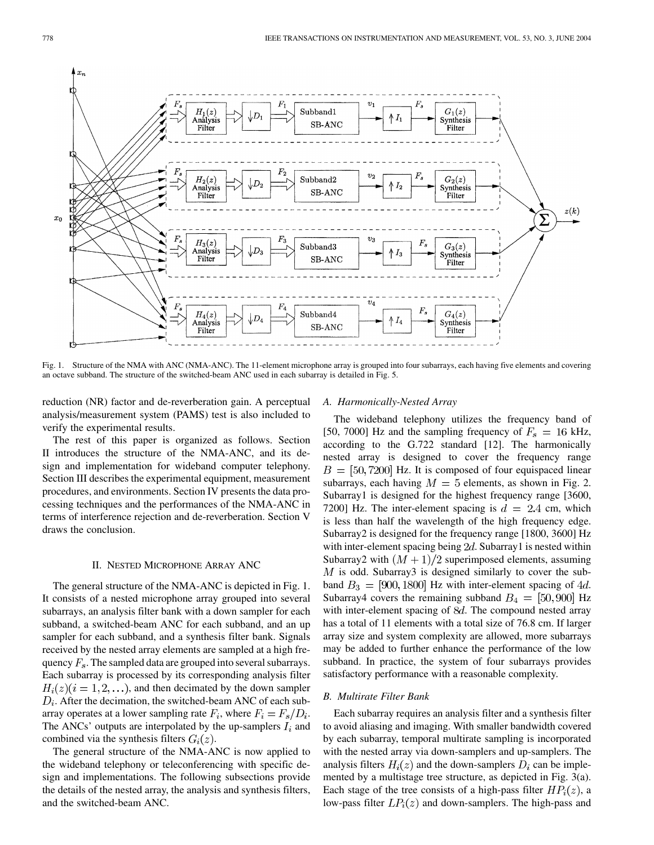

Fig. 1. Structure of the NMA with ANC (NMA-ANC). The 11-element microphone array is grouped into four subarrays, each having five elements and covering an octave subband. The structure of the switched-beam ANC used in each subarray is detailed in Fig. 5.

reduction (NR) factor and de-reverberation gain. A perceptual analysis/measurement system (PAMS) test is also included to verify the experimental results.

The rest of this paper is organized as follows. Section II introduces the structure of the NMA-ANC, and its design and implementation for wideband computer telephony. Section III describes the experimental equipment, measurement procedures, and environments. Section IV presents the data processing techniques and the performances of the NMA-ANC in terms of interference rejection and de-reverberation. Section V draws the conclusion.

#### II. NESTED MICROPHONE ARRAY ANC

The general structure of the NMA-ANC is depicted in Fig. 1. It consists of a nested microphone array grouped into several subarrays, an analysis filter bank with a down sampler for each subband, a switched-beam ANC for each subband, and an up sampler for each subband, and a synthesis filter bank. Signals received by the nested array elements are sampled at a high frequency  $F_s$ . The sampled data are grouped into several subarrays. Each subarray is processed by its corresponding analysis filter  $H_i(z)(i = 1, 2, \ldots)$ , and then decimated by the down sampler  $D_i$ . After the decimation, the switched-beam ANC of each subarray operates at a lower sampling rate  $F_i$ , where  $F_i = F_s/D_i$ . The ANCs' outputs are interpolated by the up-samplers  $I_i$  and combined via the synthesis filters  $G_i(z)$ .

The general structure of the NMA-ANC is now applied to the wideband telephony or teleconferencing with specific design and implementations. The following subsections provide the details of the nested array, the analysis and synthesis filters, and the switched-beam ANC.

#### *A. Harmonically-Nested Array*

The wideband telephony utilizes the frequency band of [50, 7000] Hz and the sampling frequency of  $F_s = 16$  kHz, according to the G.722 standard [[12\]](#page-9-0). The harmonically nested array is designed to cover the frequency range  $B=[50, 7200]$  Hz. It is composed of four equispaced linear subarrays, each having  $M = 5$  elements, as shown in Fig. 2. Subarray1 is designed for the highest frequency range [3600, 7200] Hz. The inter-element spacing is  $d = 2.4$  cm, which is less than half the wavelength of the high frequency edge. Subarray2 is designed for the frequency range [1800, 3600] Hz with inter-element spacing being  $2d$ . Subarray1 is nested within Subarray2 with  $(M + 1)/2$  superimposed elements, assuming  $M$  is odd. Subarray3 is designed similarly to cover the subband  $B_3 = [900, 1800]$  Hz with inter-element spacing of 4d. Subarray4 covers the remaining subband  $B_4 = [50, 900]$  Hz with inter-element spacing of  $8d$ . The compound nested array has a total of 11 elements with a total size of 76.8 cm. If larger array size and system complexity are allowed, more subarrays may be added to further enhance the performance of the low subband. In practice, the system of four subarrays provides satisfactory performance with a reasonable complexity.

#### *B. Multirate Filter Bank*

Each subarray requires an analysis filter and a synthesis filter to avoid aliasing and imaging. With smaller bandwidth covered by each subarray, temporal multirate sampling is incorporated with the nested array via down-samplers and up-samplers. The analysis filters  $H_i(z)$  and the down-samplers  $D_i$  can be implemented by a multistage tree structure, as depicted in Fig. 3(a). Each stage of the tree consists of a high-pass filter  $HP_i(z)$ , a low-pass filter  $LP_i(z)$  and down-samplers. The high-pass and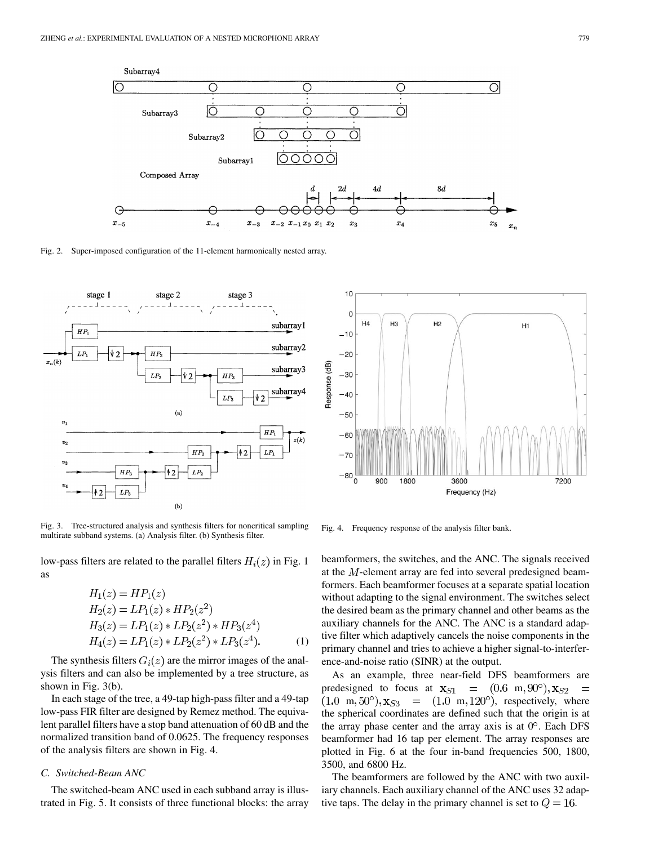

Fig. 2. Super-imposed configuration of the 11-element harmonically nested array.



Fig. 3. Tree-structured analysis and synthesis filters for noncritical sampling multirate subband systems. (a) Analysis filter. (b) Synthesis filter.

low-pass filters are related to the parallel filters  $H_i(z)$  in Fig. 1 as

$$
H_1(z) = HP_1(z)
$$
  
\n
$$
H_2(z) = LP_1(z) * HP_2(z^2)
$$
  
\n
$$
H_3(z) = LP_1(z) * LP_2(z^2) * HP_3(z^4)
$$
  
\n
$$
H_4(z) = LP_1(z) * LP_2(z^2) * LP_3(z^4).
$$
 (1)

The synthesis filters  $G_i(z)$  are the mirror images of the analysis filters and can also be implemented by a tree structure, as shown in Fig. 3(b).

In each stage of the tree, a 49-tap high-pass filter and a 49-tap low-pass FIR filter are designed by Remez method. The equivalent parallel filters have a stop band attenuation of 60 dB and the normalized transition band of 0.0625. The frequency responses of the analysis filters are shown in Fig. 4.

#### *C. Switched-Beam ANC*

The switched-beam ANC used in each subband array is illustrated in Fig. 5. It consists of three functional blocks: the array



Fig. 4. Frequency response of the analysis filter bank.

beamformers, the switches, and the ANC. The signals received at the  $M$ -element array are fed into several predesigned beamformers. Each beamformer focuses at a separate spatial location without adapting to the signal environment. The switches select the desired beam as the primary channel and other beams as the auxiliary channels for the ANC. The ANC is a standard adaptive filter which adaptively cancels the noise components in the primary channel and tries to achieve a higher signal-to-interference-and-noise ratio (SINR) at the output.

As an example, three near-field DFS beamformers are predesigned to focus at  $\mathbf{x}_{S1}$  = (0.6 m, 90°),  $\mathbf{x}_{S2}$  =  $(1.0 \text{ m}, 50^{\circ})$ ,  $\mathbf{x}_{S3} = (1.0 \text{ m}, 120^{\circ})$ , respectively, where the spherical coordinates are defined such that the origin is at the array phase center and the array axis is at  $0^\circ$ . Each DFS beamformer had 16 tap per element. The array responses are plotted in Fig. 6 at the four in-band frequencies 500, 1800, 3500, and 6800 Hz.

The beamformers are followed by the ANC with two auxiliary channels. Each auxiliary channel of the ANC uses 32 adaptive taps. The delay in the primary channel is set to  $Q = 16$ .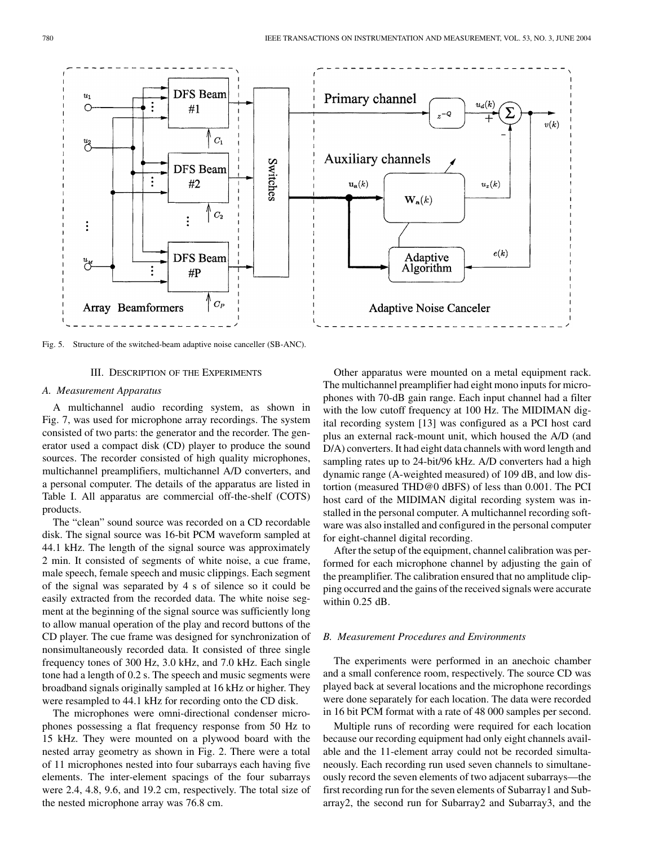**DFS** Beam  $u_1$ Primary channel  $u_d(k)$  $\subset$  $#1$  $\overline{z}$  $v(k)$  $C_1$  $\frac{u_2}{\zeta}$ **Auxiliary channels** Switches **DFS** Beam Í  $#2$  $\mathbf{u}_\mathbf{a}(k)$  $u_z(k)$  $\mathbf{W}_\mathbf{a}(k)$  $\int_{}^{}C_2$  $\vdots$  $e(k)$ DFS Beam Adaptive u<br>C  $\vdots$ Algorithm #P  $\big\uparrow_{C_P}$ Array Beamformers Adaptive Noise Canceler

Fig. 5. Structure of the switched-beam adaptive noise canceller (SB-ANC).

#### III. DESCRIPTION OF THE EXPERIMENTS

#### *A. Measurement Apparatus*

A multichannel audio recording system, as shown in Fig. 7, was used for microphone array recordings. The system consisted of two parts: the generator and the recorder. The generator used a compact disk (CD) player to produce the sound sources. The recorder consisted of high quality microphones, multichannel preamplifiers, multichannel A/D converters, and a personal computer. The details of the apparatus are listed in Table I. All apparatus are commercial off-the-shelf (COTS) products.

The "clean" sound source was recorded on a CD recordable disk. The signal source was 16-bit PCM waveform sampled at 44.1 kHz. The length of the signal source was approximately 2 min. It consisted of segments of white noise, a cue frame, male speech, female speech and music clippings. Each segment of the signal was separated by 4 s of silence so it could be easily extracted from the recorded data. The white noise segment at the beginning of the signal source was sufficiently long to allow manual operation of the play and record buttons of the CD player. The cue frame was designed for synchronization of nonsimultaneously recorded data. It consisted of three single frequency tones of 300 Hz, 3.0 kHz, and 7.0 kHz. Each single tone had a length of 0.2 s. The speech and music segments were broadband signals originally sampled at 16 kHz or higher. They were resampled to 44.1 kHz for recording onto the CD disk.

The microphones were omni-directional condenser microphones possessing a flat frequency response from 50 Hz to 15 kHz. They were mounted on a plywood board with the nested array geometry as shown in Fig. 2. There were a total of 11 microphones nested into four subarrays each having five elements. The inter-element spacings of the four subarrays were 2.4, 4.8, 9.6, and 19.2 cm, respectively. The total size of the nested microphone array was 76.8 cm.

Other apparatus were mounted on a metal equipment rack. The multichannel preamplifier had eight mono inputs for microphones with 70-dB gain range. Each input channel had a filter with the low cutoff frequency at 100 Hz. The MIDIMAN digital recording system [\[13](#page-9-0)] was configured as a PCI host card plus an external rack-mount unit, which housed the A/D (and D/A) converters. It had eight data channels with word length and sampling rates up to 24-bit/96 kHz. A/D converters had a high dynamic range (A-weighted measured) of 109 dB, and low distortion (measured THD@0 dBFS) of less than 0.001. The PCI host card of the MIDIMAN digital recording system was installed in the personal computer. A multichannel recording software was also installed and configured in the personal computer for eight-channel digital recording.

After the setup of the equipment, channel calibration was performed for each microphone channel by adjusting the gain of the preamplifier. The calibration ensured that no amplitude clipping occurred and the gains of the received signals were accurate within 0.25 dB.

#### *B. Measurement Procedures and Environments*

The experiments were performed in an anechoic chamber and a small conference room, respectively. The source CD was played back at several locations and the microphone recordings were done separately for each location. The data were recorded in 16 bit PCM format with a rate of 48 000 samples per second.

Multiple runs of recording were required for each location because our recording equipment had only eight channels available and the 11-element array could not be recorded simultaneously. Each recording run used seven channels to simultaneously record the seven elements of two adjacent subarrays—the first recording run for the seven elements of Subarray1 and Subarray2, the second run for Subarray2 and Subarray3, and the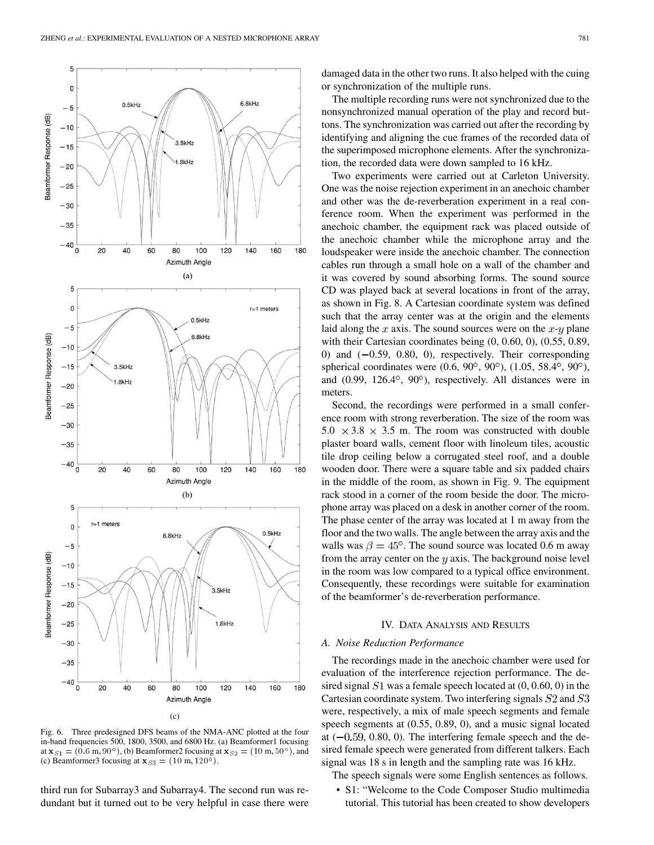

Fig. 6. Three predesigned DFS beams of the NMA-ANC plotted at the four in-band frequencies 500, 1800, 3500, and 6800 Hz. (a) Beamformer1 focusing at  $\mathbf{x}_{S1} = (0.6 \text{ m}, 90^{\circ}),$  (b) Beamformer2 focusing at  $\mathbf{x}_{S2} = (10 \text{ m}, 50^{\circ}),$  and (c) Beamformer3 focusing at  $\mathbf{x}_{S3} = (10 \text{ m}, 120^{\circ}).$ 

third run for Subarray3 and Subarray4. The second run was redundant but it turned out to be very helpful in case there were damaged data in the other two runs. It also helped with the cuing or synchronization of the multiple runs.

The multiple recording runs were not synchronized due to the nonsynchronized manual operation of the play and record buttons. The synchronization was carried out after the recording by identifying and aligning the cue frames of the recorded data of the superimposed microphone elements. After the synchronization, the recorded data were down sampled to 16 kHz.

Two experiments were carried out at Carleton University. One was the noise rejection experiment in an anechoic chamber and other was the de-reverberation experiment in a real conference room. When the experiment was performed in the anechoic chamber, the equipment rack was placed outside of the anechoic chamber while the microphone array and the loudspeaker were inside the anechoic chamber. The connection cables run through a small hole on a wall of the chamber and it was covered by sound absorbing forms. The sound source CD was played back at several locations in front of the array, as shown in Fig. 8. A Cartesian coordinate system was defined such that the array center was at the origin and the elements laid along the x axis. The sound sources were on the  $x-y$  plane with their Cartesian coordinates being (0, 0.60, 0), (0.55, 0.89, 0) and  $(-0.59, 0.80, 0)$ , respectively. Their corresponding spherical coordinates were  $(0.6, 90^{\circ}, 90^{\circ})$ ,  $(1.05, 58.4^{\circ}, 90^{\circ})$ , and  $(0.99, 126.4^{\circ}, 90^{\circ})$ , respectively. All distances were in meters.

Second, the recordings were performed in a small conference room with strong reverberation. The size of the room was  $5.0 \times 3.8 \times 3.5$  m. The room was constructed with double plaster board walls, cement floor with linoleum tiles, acoustic tile drop ceiling below a corrugated steel roof, and a double wooden door. There were a square table and six padded chairs in the middle of the room, as shown in Fig. 9. The equipment rack stood in a corner of the room beside the door. The microphone array was placed on a desk in another corner of the room. The phase center of the array was located at 1 m away from the floor and the two walls. The angle between the array axis and the walls was  $\beta = 45^{\circ}$ . The sound source was located 0.6 m away from the array center on the  $y$  axis. The background noise level in the room was low compared to a typical office environment. Consequently, these recordings were suitable for examination of the beamformer's de-reverberation performance.

#### IV. DATA ANALYSIS AND RESULTS

#### *A. Noise Reduction Performance*

The recordings made in the anechoic chamber were used for evaluation of the interference rejection performance. The desired signal  $S1$  was a female speech located at  $(0, 0.60, 0)$  in the Cartesian coordinate system. Two interfering signals  $S2$  and  $S3$ were, respectively, a mix of male speech segments and female speech segments at (0.55, 0.89, 0), and a music signal located at  $(-0.59, 0.80, 0)$ . The interfering female speech and the desired female speech were generated from different talkers. Each signal was 18 s in length and the sampling rate was 16 kHz.

The speech signals were some English sentences as follows.

• S1: "Welcome to the Code Composer Studio multimedia tutorial. This tutorial has been created to show developers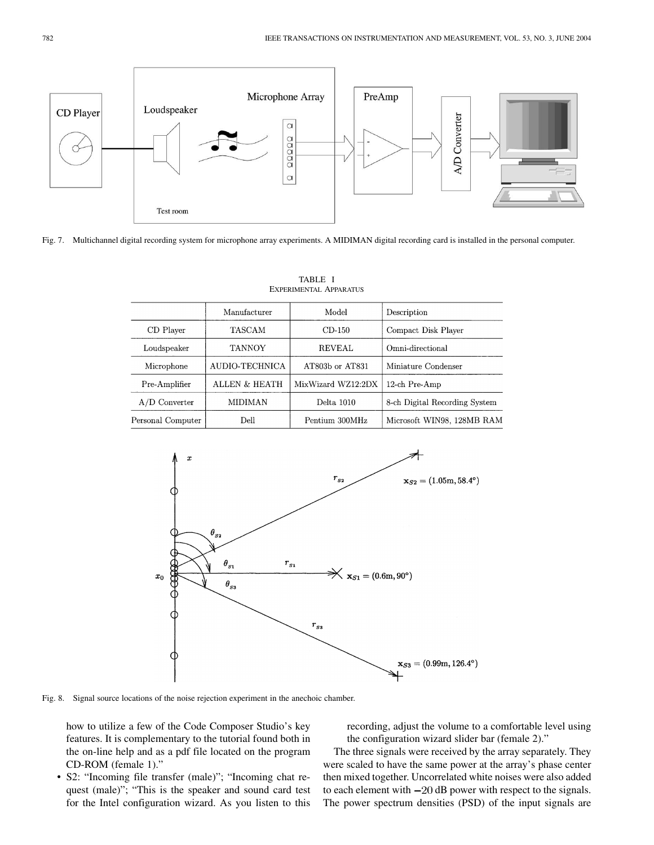

Fig. 7. Multichannel digital recording system for microphone array experiments. A MIDIMAN digital recording card is installed in the personal computer.

|                   | Manufacturer   | Model              | Description                   |  |
|-------------------|----------------|--------------------|-------------------------------|--|
| CD Player         | <b>TASCAM</b>  | $CD-150$           | Compact Disk Player           |  |
| Loudspeaker       | TANNOV         | <b>REVEAL</b>      | Omni-directional              |  |
| Microphone        | AUDIO-TECHNICA | AT803b or AT831    | Miniature Condenser           |  |
| Pre-Amplifier     | ALLEN & HEATH  | MixWizard WZ12:2DX | 12-ch Pre-Amp                 |  |
| $A/D$ Converter   | MIDIMAN        | Delta 1010         | 8-ch Digital Recording System |  |
| Personal Computer | Dell           | Pentium 300MHz     | Microsoft WIN98, 128MB RAM    |  |

TABLE I EXPERIMENTAL APPARATUS



Fig. 8. Signal source locations of the noise rejection experiment in the anechoic chamber.

how to utilize a few of the Code Composer Studio's key features. It is complementary to the tutorial found both in the on-line help and as a pdf file located on the program CD-ROM (female 1)."

• S2: "Incoming file transfer (male)"; "Incoming chat request (male)"; "This is the speaker and sound card test for the Intel configuration wizard. As you listen to this recording, adjust the volume to a comfortable level using the configuration wizard slider bar (female 2)."

The three signals were received by the array separately. They were scaled to have the same power at the array's phase center then mixed together. Uncorrelated white noises were also added to each element with  $-20$  dB power with respect to the signals. The power spectrum densities (PSD) of the input signals are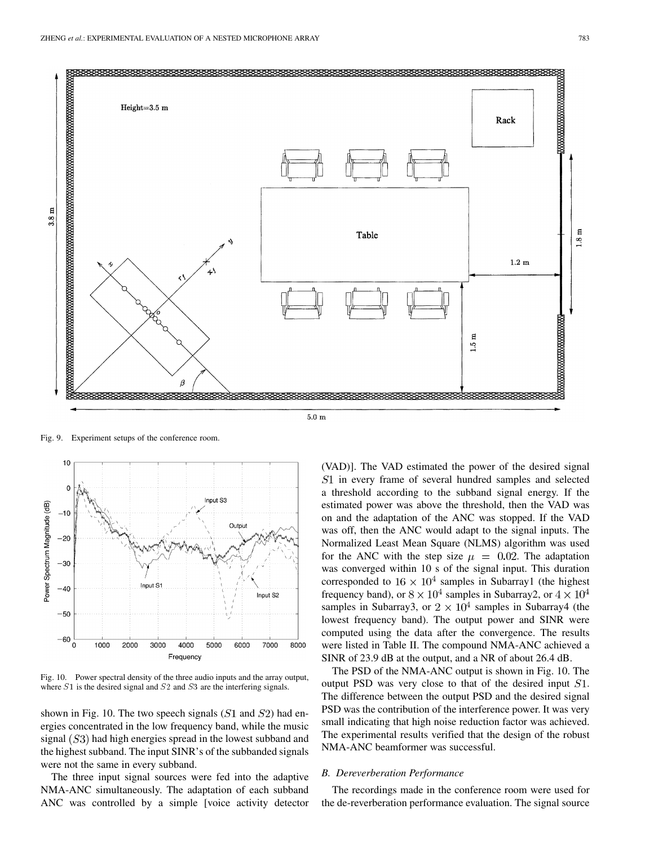

Fig. 9. Experiment setups of the conference room.



Fig. 10. Power spectral density of the three audio inputs and the array output, where S1 is the desired signal and S2 and S3 are the interfering signals.

shown in Fig. 10. The two speech signals  $(S1 \text{ and } S2)$  had energies concentrated in the low frequency band, while the music signal  $(S3)$  had high energies spread in the lowest subband and the highest subband. The input SINR's of the subbanded signals were not the same in every subband.

The three input signal sources were fed into the adaptive NMA-ANC simultaneously. The adaptation of each subband ANC was controlled by a simple [voice activity detector (VAD)]. The VAD estimated the power of the desired signal  $S1$  in every frame of several hundred samples and selected a threshold according to the subband signal energy. If the estimated power was above the threshold, then the VAD was on and the adaptation of the ANC was stopped. If the VAD was off, then the ANC would adapt to the signal inputs. The Normalized Least Mean Square (NLMS) algorithm was used for the ANC with the step size  $\mu = 0.02$ . The adaptation was converged within 10 s of the signal input. This duration corresponded to  $16 \times 10^4$  samples in Subarray1 (the highest frequency band), or  $8 \times 10^4$  samples in Subarray2, or  $4 \times 10^4$ samples in Subarray3, or  $2 \times 10^4$  samples in Subarray4 (the lowest frequency band). The output power and SINR were computed using the data after the convergence. The results were listed in Table II. The compound NMA-ANC achieved a SINR of 23.9 dB at the output, and a NR of about 26.4 dB.

The PSD of the NMA-ANC output is shown in Fig. 10. The output PSD was very close to that of the desired input  $S1$ . The difference between the output PSD and the desired signal PSD was the contribution of the interference power. It was very small indicating that high noise reduction factor was achieved. The experimental results verified that the design of the robust NMA-ANC beamformer was successful.

#### *B. Dereverberation Performance*

The recordings made in the conference room were used for the de-reverberation performance evaluation. The signal source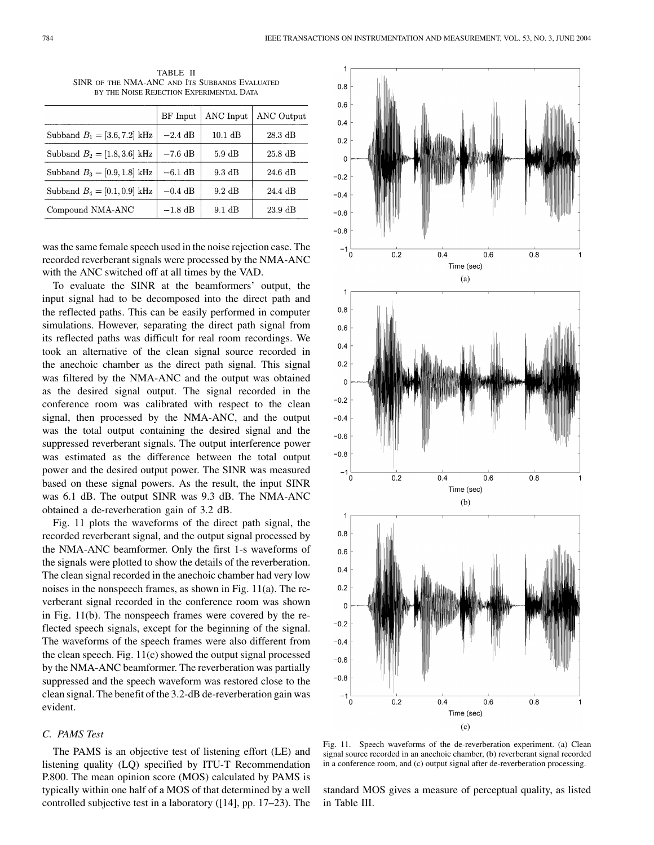TABLE II SINR OF THE NMA-ANC AND ITS SUBBANDS EVALUATED BY THE NOISE REJECTION EXPERIMENTAL DATA

|                                        | BF Input  | ANC Input        | <b>ANC</b> Output |
|----------------------------------------|-----------|------------------|-------------------|
| Subband $B_1 = [3.6, 7.2] \text{ kHz}$ | $-2.4$ dB | $10.1$ dB        | $28.3$ dB         |
| Subband $B_2 = [1.8, 3.6]$ kHz         | $-7.6$ dB | $5.9 \text{ dB}$ | $25.8$ dB         |
| Subband $B_3 = [0.9, 1.8]$ kHz         | $-6.1$ dB | $9.3 \text{ dB}$ | $24.6\;\text{dB}$ |
| Subband $B_4 = [0.1, 0.9]$ kHz         | $-0.4$ dB | $9.2 \text{ dB}$ | $24.4$ dB         |
| Compound NMA-ANC                       | $-1.8$ dB | $9.1 \text{ dB}$ | $23.9$ dB         |

was the same female speech used in the noise rejection case. The recorded reverberant signals were processed by the NMA-ANC with the ANC switched off at all times by the VAD.

To evaluate the SINR at the beamformers' output, the input signal had to be decomposed into the direct path and the reflected paths. This can be easily performed in computer simulations. However, separating the direct path signal from its reflected paths was difficult for real room recordings. We took an alternative of the clean signal source recorded in the anechoic chamber as the direct path signal. This signal was filtered by the NMA-ANC and the output was obtained as the desired signal output. The signal recorded in the conference room was calibrated with respect to the clean signal, then processed by the NMA-ANC, and the output was the total output containing the desired signal and the suppressed reverberant signals. The output interference power was estimated as the difference between the total output power and the desired output power. The SINR was measured based on these signal powers. As the result, the input SINR was 6.1 dB. The output SINR was 9.3 dB. The NMA-ANC obtained a de-reverberation gain of 3.2 dB.

Fig. 11 plots the waveforms of the direct path signal, the recorded reverberant signal, and the output signal processed by the NMA-ANC beamformer. Only the first 1-s waveforms of the signals were plotted to show the details of the reverberation. The clean signal recorded in the anechoic chamber had very low noises in the nonspeech frames, as shown in Fig. 11(a). The reverberant signal recorded in the conference room was shown in Fig. 11(b). The nonspeech frames were covered by the reflected speech signals, except for the beginning of the signal. The waveforms of the speech frames were also different from the clean speech. Fig. 11(c) showed the output signal processed by the NMA-ANC beamformer. The reverberation was partially suppressed and the speech waveform was restored close to the clean signal. The benefit of the 3.2-dB de-reverberation gain was evident.

#### *C. PAMS Test*

The PAMS is an objective test of listening effort (LE) and listening quality (LQ) specified by ITU-T Recommendation P.800. The mean opinion score (MOS) calculated by PAMS is typically within one half of a MOS of that determined by a well controlled subjective test in a laboratory ([[14](#page-9-0)], pp. 17–23). The



Fig. 11. Speech waveforms of the de-reverberation experiment. (a) Clean signal source recorded in an anechoic chamber, (b) reverberant signal recorded in a conference room, and (c) output signal after de-reverberation processing.

standard MOS gives a measure of perceptual quality, as listed in Table III.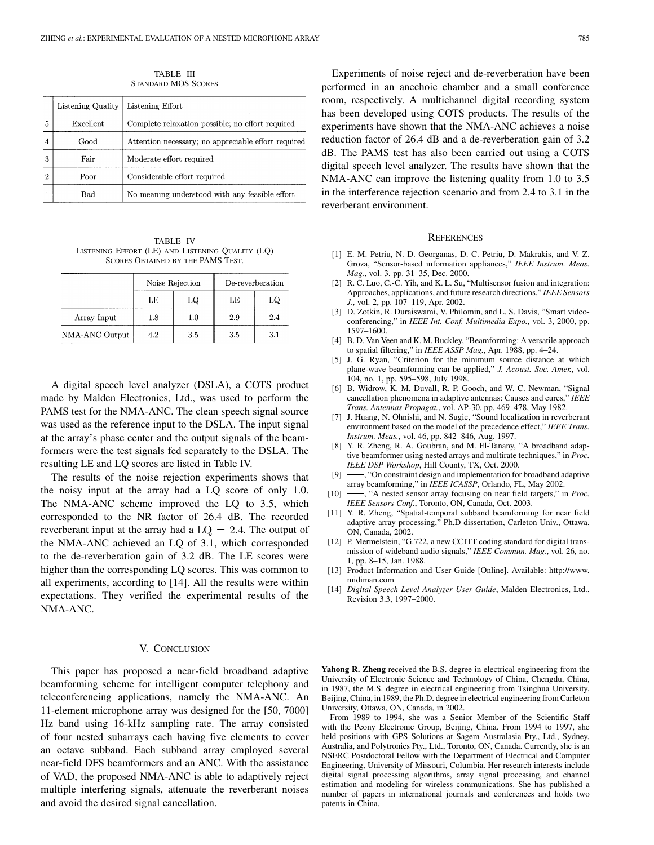TABLE III STANDARD MOS SCORES

<span id="page-9-0"></span>

|           | Listening Quality | Listening Effort                                    |
|-----------|-------------------|-----------------------------------------------------|
| 5         | <b>Excellent</b>  | Complete relaxation possible; no effort required    |
| Good<br>4 |                   | Attention necessary; no appreciable effort required |
| 3         | Fair              | Moderate effort required                            |
| 2         | Poor              | Considerable effort required                        |
|           | Bad               | No meaning understood with any feasible effort      |

TABLE IV LISTENING EFFORT (LE) AND LISTENING QUALITY (LQ) SCORES OBTAINED BY THE PAMS TEST.

|                |     | Noise Rejection | De-reverberation |     |
|----------------|-----|-----------------|------------------|-----|
|                | LE  | LQ              | LE               | LQ  |
| Array Input    | 1.8 | 1.0             | 2.9              | 2.4 |
| NMA-ANC Output | 4.2 | 3.5             | 3.5              | 3.1 |

A digital speech level analyzer (DSLA), a COTS product made by Malden Electronics, Ltd., was used to perform the PAMS test for the NMA-ANC. The clean speech signal source was used as the reference input to the DSLA. The input signal at the array's phase center and the output signals of the beamformers were the test signals fed separately to the DSLA. The resulting LE and LQ scores are listed in Table IV.

The results of the noise rejection experiments shows that the noisy input at the array had a LQ score of only 1.0. The NMA-ANC scheme improved the LQ to 3.5, which corresponded to the NR factor of 26.4 dB. The recorded reverberant input at the array had a  $LQ = 2.4$ . The output of the NMA-ANC achieved an LQ of 3.1, which corresponded to the de-reverberation gain of 3.2 dB. The LE scores were higher than the corresponding LQ scores. This was common to all experiments, according to [14]. All the results were within expectations. They verified the experimental results of the NMA-ANC.

#### V. CONCLUSION

This paper has proposed a near-field broadband adaptive beamforming scheme for intelligent computer telephony and teleconferencing applications, namely the NMA-ANC. An 11-element microphone array was designed for the [50, 7000] Hz band using 16-kHz sampling rate. The array consisted of four nested subarrays each having five elements to cover an octave subband. Each subband array employed several near-field DFS beamformers and an ANC. With the assistance of VAD, the proposed NMA-ANC is able to adaptively reject multiple interfering signals, attenuate the reverberant noises and avoid the desired signal cancellation.

Experiments of noise reject and de-reverberation have been performed in an anechoic chamber and a small conference room, respectively. A multichannel digital recording system has been developed using COTS products. The results of the experiments have shown that the NMA-ANC achieves a noise reduction factor of 26.4 dB and a de-reverberation gain of 3.2 dB. The PAMS test has also been carried out using a COTS digital speech level analyzer. The results have shown that the NMA-ANC can improve the listening quality from 1.0 to 3.5 in the interference rejection scenario and from 2.4 to 3.1 in the reverberant environment.

#### **REFERENCES**

- [1] E. M. Petriu, N. D. Georganas, D. C. Petriu, D. Makrakis, and V. Z. Groza, "Sensor-based information appliances," *IEEE Instrum. Meas. Mag.*, vol. 3, pp. 31–35, Dec. 2000.
- [2] R. C. Luo, C.-C. Yih, and K. L. Su, "Multisensor fusion and integration: Approaches, applications, and future research directions," *IEEE Sensors J.*, vol. 2, pp. 107–119, Apr. 2002.
- [3] D. Zotkin, R. Duraiswami, V. Philomin, and L. S. Davis, "Smart videoconferencing," in *IEEE Int. Conf. Multimedia Expo.*, vol. 3, 2000, pp. 1597–1600.
- [4] B. D. Van Veen and K. M. Buckley, "Beamforming: A versatile approach to spatial filtering," in *IEEE ASSP Mag.*, Apr. 1988, pp. 4–24.
- [5] J. G. Ryan, "Criterion for the minimum source distance at which plane-wave beamforming can be applied," *J. Acoust. Soc. Amer.*, vol. 104, no. 1, pp. 595–598, July 1998.
- [6] B. Widrow, K. M. Duvall, R. P. Gooch, and W. C. Newman, "Signal cancellation phenomena in adaptive antennas: Causes and cures," *IEEE Trans. Antennas Propagat.*, vol. AP-30, pp. 469–478, May 1982.
- [7] J. Huang, N. Ohnishi, and N. Sugie, "Sound localization in reverberant environment based on the model of the precedence effect," *IEEE Trans. Instrum. Meas.*, vol. 46, pp. 842–846, Aug. 1997.
- [8] Y. R. Zheng, R. A. Goubran, and M. El-Tanany, "A broadband adaptive beamformer using nested arrays and multirate techniques," in *Proc. IEEE DSP Workshop*, Hill County, TX, Oct. 2000.
- [9]  $\rightarrow$  "On constraint design and implementation for broadband adaptive" array beamforming," in *IEEE ICASSP*, Orlando, FL, May 2002.
- [10]  $\rightarrow$ , "A nested sensor array focusing on near field targets," in *Proc. IEEE Sensors Conf.*, Toronto, ON, Canada, Oct. 2003.
- [11] Y. R. Zheng, "Spatial-temporal subband beamforming for near field adaptive array processing," Ph.D dissertation, Carleton Univ., Ottawa, ON, Canada, 2002.
- [12] P. Mermelstein, "G.722, a new CCITT coding standard for digital transmission of wideband audio signals," *IEEE Commun. Mag.*, vol. 26, no. 1, pp. 8–15, Jan. 1988.
- [13] Product Information and User Guide [Online]. Available: http://www. midiman.com
- [14] *Digital Speech Level Analyzer User Guide*, Malden Electronics, Ltd., Revision 3.3, 1997–2000.

**Yahong R. Zheng** received the B.S. degree in electrical engineering from the University of Electronic Science and Technology of China, Chengdu, China, in 1987, the M.S. degree in electrical engineering from Tsinghua University, Beijing, China, in 1989, the Ph.D. degree in electrical engineering from Carleton University, Ottawa, ON, Canada, in 2002.

From 1989 to 1994, she was a Senior Member of the Scientific Staff with the Peony Electronic Group, Beijing, China. From 1994 to 1997, she held positions with GPS Solutions at Sagem Australasia Pty., Ltd., Sydney, Australia, and Polytronics Pty., Ltd., Toronto, ON, Canada. Currently, she is an NSERC Postdoctoral Fellow with the Department of Electrical and Computer Engineering, University of Missouri, Columbia. Her research interests include digital signal processing algorithms, array signal processing, and channel estimation and modeling for wireless communications. She has published a number of papers in international journals and conferences and holds two patents in China.